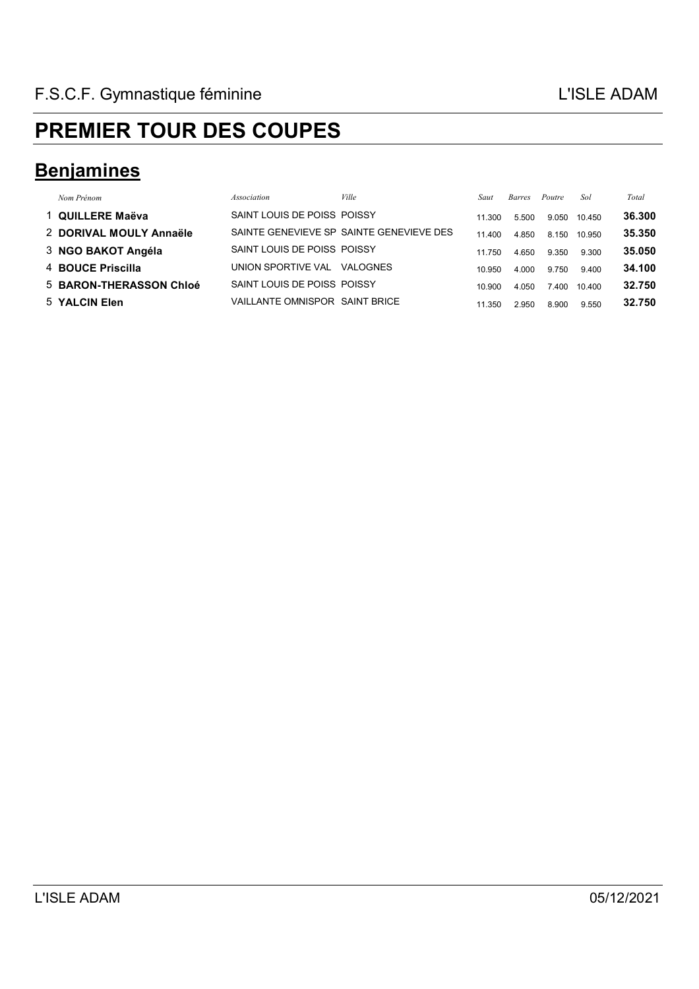### **Benjamines**

| Nom Prénom              | Association                    | <i>Ville</i>                             | Saut   | Barres | Poutre | Sol    | Total  |
|-------------------------|--------------------------------|------------------------------------------|--------|--------|--------|--------|--------|
| 1 QUILLERE Maëva        | SAINT LOUIS DE POISS POISSY    |                                          | 11 300 | 5.500  | 9.050  | 10.450 | 36,300 |
| 2 DORIVAL MOULY Annaële |                                | SAINTE GENEVIEVE SP SAINTE GENEVIEVE DES | 11.400 | 4.850  | 8.150  | 10.950 | 35.350 |
| 3 NGO BAKOT Angéla      | SAINT LOUIS DE POISS POISSY    |                                          | 11.750 | 4.650  | 9.350  | 9.300  | 35.050 |
| 4 BOUCE Priscilla       | UNION SPORTIVE VAL             | VALOGNES                                 | 10.950 | 4.000  | 9.750  | 9.400  | 34.100 |
| 5 BARON-THERASSON Chloé | SAINT LOUIS DE POISS POISSY    |                                          | 10.900 | 4.050  | 7.400  | 10.400 | 32.750 |
| 5 YALCIN Elen           | VAILLANTE OMNISPOR SAINT BRICE |                                          | 11.350 | 2.950  | 8.900  | 9.550  | 32.750 |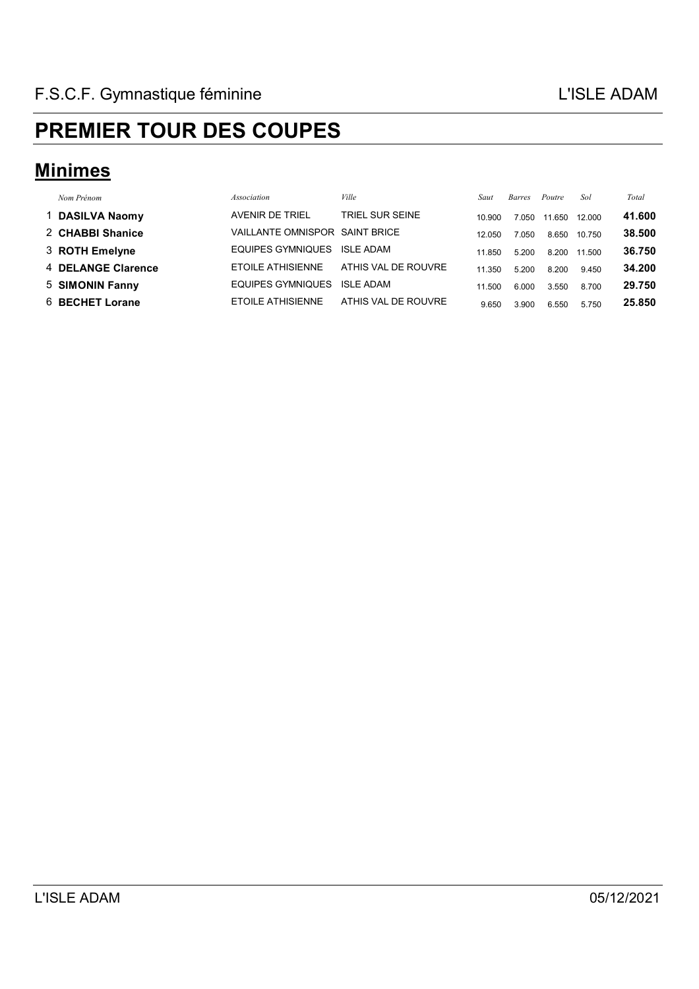#### **Minimes**

| Nom Prénom         | Association                    | Ville               | Saut   | Barres | Poutre | Sol    | Total  |
|--------------------|--------------------------------|---------------------|--------|--------|--------|--------|--------|
| 1 DASILVA Naomy    | AVENIR DE TRIEL                | TRIEL SUR SEINE     | 10.900 | 7.050  | 11.650 | 12.000 | 41.600 |
| 2 CHABBI Shanice   | VAILLANTE OMNISPOR SAINT BRICE |                     | 12.050 | 7.050  | 8.650  | 10.750 | 38.500 |
| 3 ROTH Emelyne     | EQUIPES GYMNIQUES              | <b>ISLE ADAM</b>    | 11.850 | 5.200  | 8.200  | 11.500 | 36.750 |
| 4 DELANGE Clarence | ETOILE ATHISIENNE              | ATHIS VAL DE ROUVRE | 11.350 | 5.200  | 8.200  | 9.450  | 34.200 |
| 5 SIMONIN Fanny    | EQUIPES GYMNIQUES              | <b>ISLE ADAM</b>    | 11.500 | 6.000  | 3.550  | 8.700  | 29.750 |
| 6 BECHET Lorane    | <b>ETOILE ATHISIENNE</b>       | ATHIS VAL DE ROUVRE | 9.650  | 3.900  | 6.550  | 5.750  | 25.850 |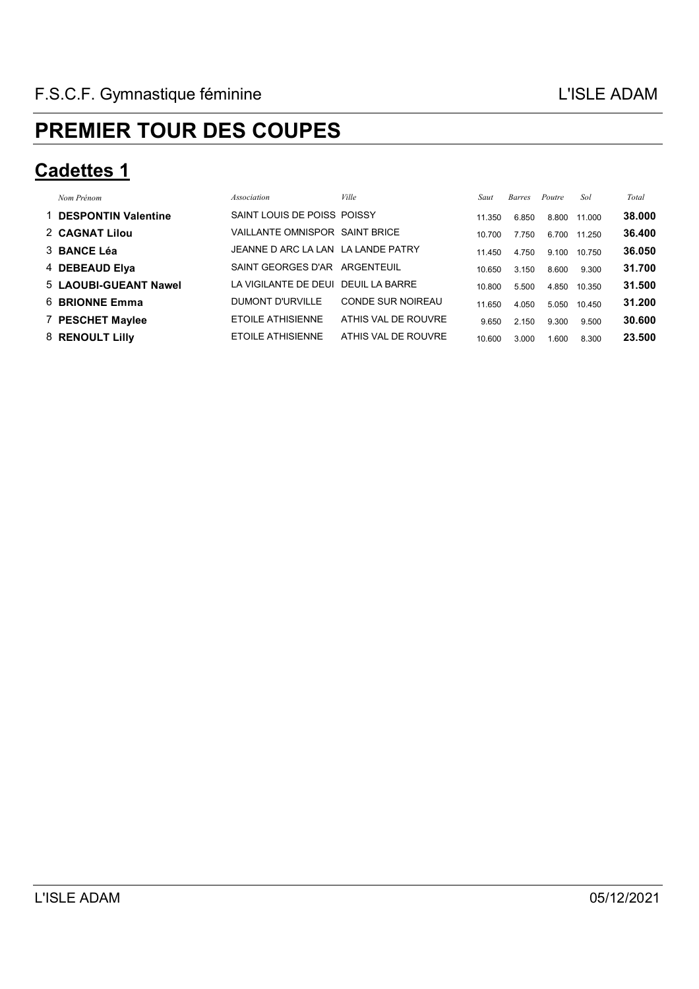#### **Cadettes 1**

| Nom Prénom            | <i>Association</i>                  | Ville                    | Saut   | <b>Barres</b> | Poutre | Sol    | Total  |
|-----------------------|-------------------------------------|--------------------------|--------|---------------|--------|--------|--------|
| 1 DESPONTIN Valentine | SAINT LOUIS DE POISS POISSY         |                          | 11.350 | 6.850         | 8.800  | 11.000 | 38,000 |
| 2 CAGNAT Lilou        | VAILLANTE OMNISPOR SAINT BRICE      |                          | 10.700 | 7.750         | 6.700  | 11.250 | 36.400 |
| 3 BANCE Léa           | JEANNE D ARC LA LAN LA LANDE PATRY  |                          | 11.450 | 4.750         | 9.100  | 10.750 | 36.050 |
| 4 DEBEAUD Elya        | SAINT GEORGES D'AR ARGENTEUIL       |                          | 10.650 | 3.150         | 8.600  | 9.300  | 31.700 |
| 5 LAOUBI-GUEANT Nawel | LA VIGILANTE DE DEUI DEUIL LA BARRE |                          | 10.800 | 5.500         | 4.850  | 10.350 | 31.500 |
| 6 BRIONNE Emma        | DUMONT D'URVILLE                    | <b>CONDE SUR NOIREAU</b> | 11.650 | 4.050         | 5.050  | 10.450 | 31.200 |
| 7 PESCHET Maylee      | ETOILE ATHISIENNE                   | ATHIS VAL DE ROUVRE      | 9.650  | 2.150         | 9.300  | 9.500  | 30.600 |
| 8 RENOULT Lilly       | <b>ETOILE ATHISIENNE</b>            | ATHIS VAL DE ROUVRE      | 10.600 | 3.000         | 0.600  | 8.300  | 23.500 |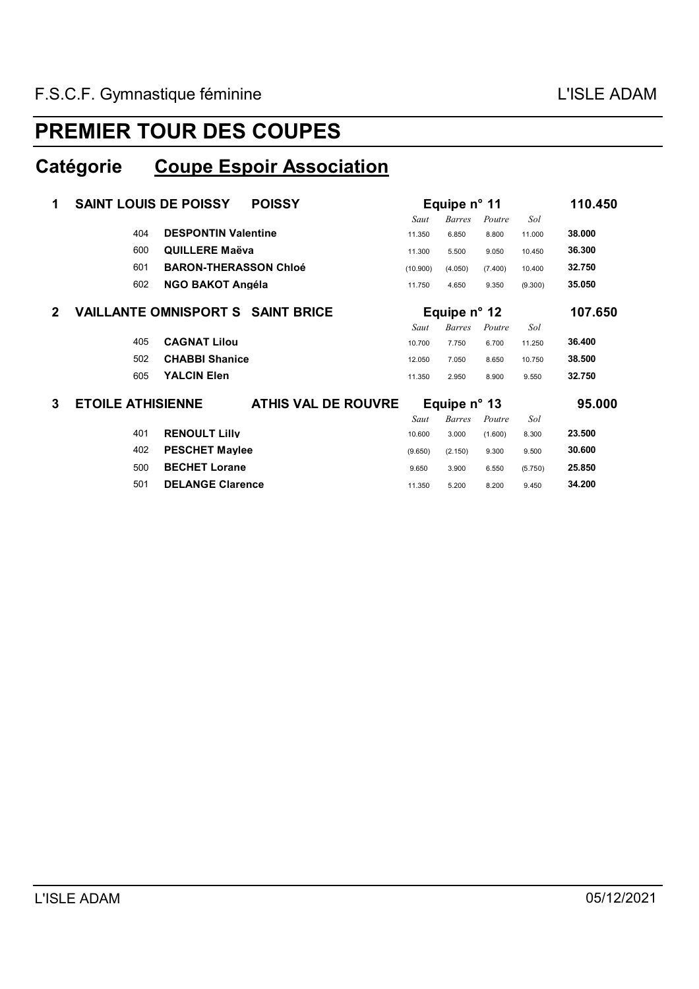#### **Catégorie Coupe Espoir Association**

| 1            | <b>SAINT LOUIS DE POISSY</b><br><b>POISSY</b> |                                          | Equipe $n^{\circ}$ 11 | 110.450               |         |         |         |
|--------------|-----------------------------------------------|------------------------------------------|-----------------------|-----------------------|---------|---------|---------|
|              |                                               |                                          | Saut                  | <b>Barres</b>         | Poutre  | Sol     |         |
|              | 404                                           | <b>DESPONTIN Valentine</b>               | 11.350                | 6.850                 | 8.800   | 11.000  | 38.000  |
|              | 600                                           | <b>QUILLERE Maëva</b>                    | 11.300                | 5.500                 | 9.050   | 10.450  | 36.300  |
|              | 601                                           | <b>BARON-THERASSON Chloé</b>             | (10.900)              | (4.050)               | (7.400) | 10.400  | 32.750  |
|              | 602                                           | <b>NGO BAKOT Angéla</b>                  | 11.750                | 4.650                 | 9.350   | (9.300) | 35.050  |
| $\mathbf{2}$ |                                               | <b>VAILLANTE OMNISPORT S SAINT BRICE</b> |                       | Equipe $n^{\circ}$ 12 |         |         | 107.650 |
|              |                                               |                                          | Saut                  | <b>Barres</b>         | Poutre  | Sol     |         |
|              | 405                                           | <b>CAGNAT Lilou</b>                      | 10.700                | 7.750                 | 6.700   | 11.250  | 36.400  |
|              | 502                                           | <b>CHABBI Shanice</b>                    | 12.050                | 7.050                 | 8.650   | 10.750  | 38.500  |
|              | 605                                           | <b>YALCIN Elen</b>                       | 11.350                | 2.950                 | 8.900   | 9.550   | 32.750  |
| 3            | <b>ETOILE ATHISIENNE</b>                      | <b>ATHIS VAL DE ROUVRE</b>               |                       | Equipe $n^{\circ}$ 13 |         |         | 95,000  |
|              |                                               |                                          | Saut                  | <b>Barres</b>         | Poutre  | Sol     |         |
|              | 401                                           | <b>RENOULT Lilly</b>                     | 10.600                | 3.000                 | (1.600) | 8.300   | 23.500  |
|              | 402                                           | <b>PESCHET Maylee</b>                    | (9.650)               | (2.150)               | 9.300   | 9.500   | 30.600  |
|              | 500                                           | <b>BECHET Lorane</b>                     | 9.650                 | 3.900                 | 6.550   | (5.750) | 25.850  |
|              | 501                                           | <b>DELANGE Clarence</b>                  | 11.350                | 5.200                 | 8.200   | 9.450   | 34.200  |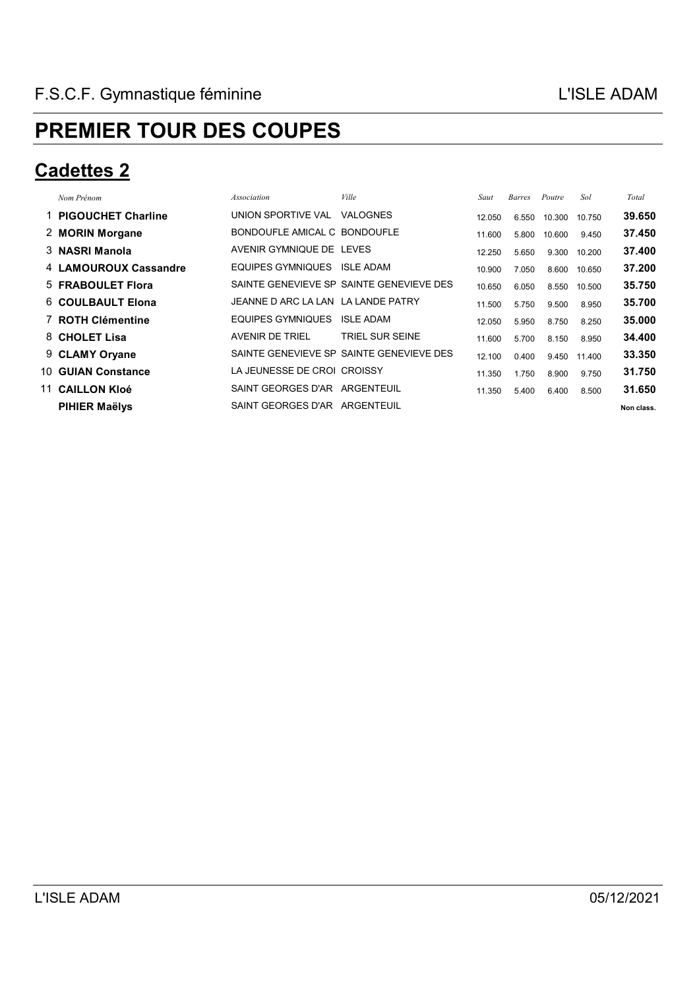#### **Cadettes 2**

| Nom Prénom            | Association                        | Ville                                    | Saut   | Barres | Poutre | Sol    | Total      |
|-----------------------|------------------------------------|------------------------------------------|--------|--------|--------|--------|------------|
| 1 PIGOUCHET Charline  | UNION SPORTIVE VAL                 | <b>VALOGNES</b>                          | 12.050 | 6.550  | 10.300 | 10.750 | 39.650     |
| 2 MORIN Morgane       | BONDOUFLE AMICAL C BONDOUFLE       |                                          | 11.600 | 5.800  | 10.600 | 9.450  | 37.450     |
| 3 NASRI Manola        | AVENIR GYMNIQUE DE LEVES           |                                          | 12.250 | 5.650  | 9.300  | 10.200 | 37.400     |
| 4 LAMOUROUX Cassandre | EQUIPES GYMNIQUES ISLE ADAM        |                                          | 10.900 | 7.050  | 8.600  | 10.650 | 37.200     |
| 5 FRABOULET Flora     |                                    | SAINTE GENEVIEVE SP SAINTE GENEVIEVE DES | 10.650 | 6.050  | 8.550  | 10.500 | 35.750     |
| 6 COULBAULT Elona     | JEANNE D ARC LA LAN LA LANDE PATRY |                                          | 11.500 | 5.750  | 9.500  | 8.950  | 35.700     |
| 7 ROTH Clémentine     | EQUIPES GYMNIQUES                  | <b>ISLE ADAM</b>                         | 12.050 | 5.950  | 8.750  | 8.250  | 35,000     |
| 8 CHOLET Lisa         | <b>AVENIR DE TRIEL</b>             | <b>TRIEL SUR SEINE</b>                   | 11.600 | 5.700  | 8.150  | 8.950  | 34,400     |
| 9 CLAMY Oryane        |                                    | SAINTE GENEVIEVE SP SAINTE GENEVIEVE DES | 12.100 | 0.400  | 9.450  | 11.400 | 33,350     |
| 10 GUIAN Constance    | LA JEUNESSE DE CROI CROISSY        |                                          | 11.350 | 1.750  | 8.900  | 9.750  | 31.750     |
| 11 CAILLON KIoé       | SAINT GEORGES D'AR ARGENTEUIL      |                                          | 11.350 | 5.400  | 6.400  | 8.500  | 31.650     |
| <b>PIHIER Maëlys</b>  | SAINT GEORGES D'AR ARGENTEUIL      |                                          |        |        |        |        | Non class. |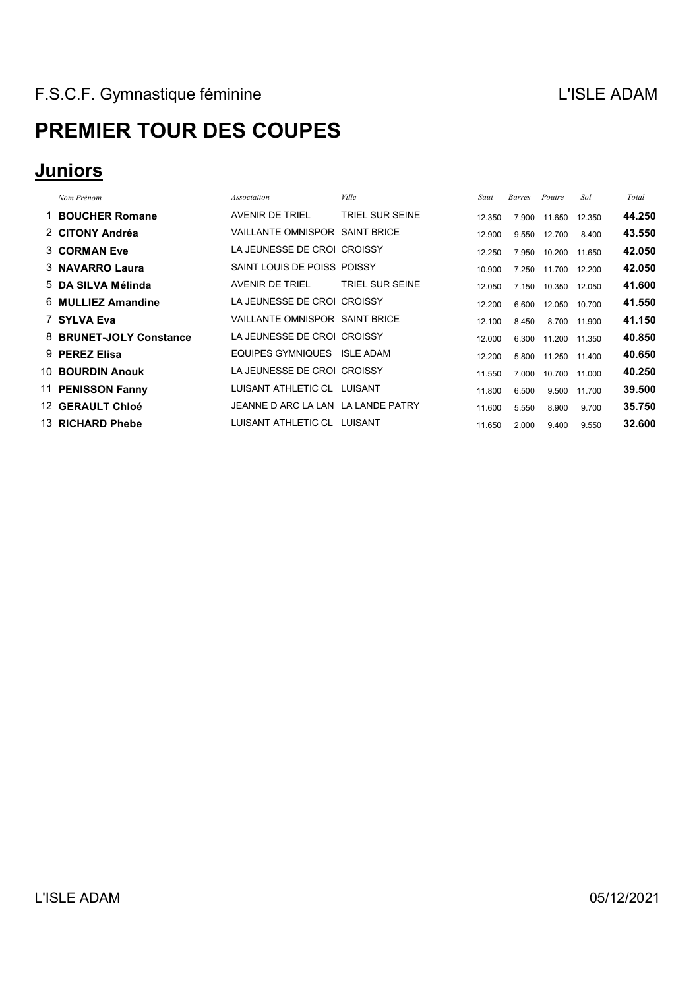#### **Juniors**

| Nom Prénom              | Association                        | Ville           | Saut   | <b>Barres</b> | Poutre | Sol    | Total  |
|-------------------------|------------------------------------|-----------------|--------|---------------|--------|--------|--------|
| 1 BOUCHER Romane        | <b>AVENIR DE TRIEL</b>             | TRIEL SUR SEINE | 12.350 | 7.900         | 11.650 | 12.350 | 44.250 |
| 2 CITONY Andréa         | VAILLANTE OMNISPOR SAINT BRICE     |                 | 12.900 | 9.550         | 12.700 | 8.400  | 43.550 |
| 3 CORMAN Eve            | LA JEUNESSE DE CROI CROISSY        |                 | 12.250 | 7.950         | 10.200 | 11.650 | 42.050 |
| 3 NAVARRO Laura         | SAINT LOUIS DE POISS POISSY        |                 | 10.900 | 7.250         | 11.700 | 12.200 | 42.050 |
| 5 DA SILVA Mélinda      | AVENIR DE TRIEL                    | TRIEL SUR SEINE | 12.050 | 7.150         | 10.350 | 12.050 | 41.600 |
| 6 MULLIEZ Amandine      | LA JEUNESSE DE CROI CROISSY        |                 | 12.200 | 6.600         | 12.050 | 10.700 | 41.550 |
| 7 SYLVA Eva             | VAILLANTE OMNISPOR SAINT BRICE     |                 | 12.100 | 8.450         | 8.700  | 11.900 | 41.150 |
| 8 BRUNET-JOLY Constance | LA JEUNESSE DE CROI CROISSY        |                 | 12.000 | 6.300         | 11.200 | 11.350 | 40.850 |
| 9 PEREZ Elisa           | EQUIPES GYMNIQUES                  | ISLE ADAM       | 12.200 | 5.800         | 11.250 | 11.400 | 40.650 |
| 10 BOURDIN Anouk        | LA JEUNESSE DE CROI CROISSY        |                 | 11.550 | 7.000         | 10.700 | 11.000 | 40.250 |
| 11 PENISSON Fanny       | LUISANT ATHLETIC CL LUISANT        |                 | 11.800 | 6.500         | 9.500  | 11.700 | 39.500 |
| <b>12 GERAULT Chloé</b> | JEANNE D ARC LA LAN LA LANDE PATRY |                 | 11.600 | 5.550         | 8.900  | 9.700  | 35.750 |
| 13 RICHARD Phebe        | LUISANT ATHLETIC CL LUISANT        |                 | 11.650 | 2.000         | 9.400  | 9.550  | 32.600 |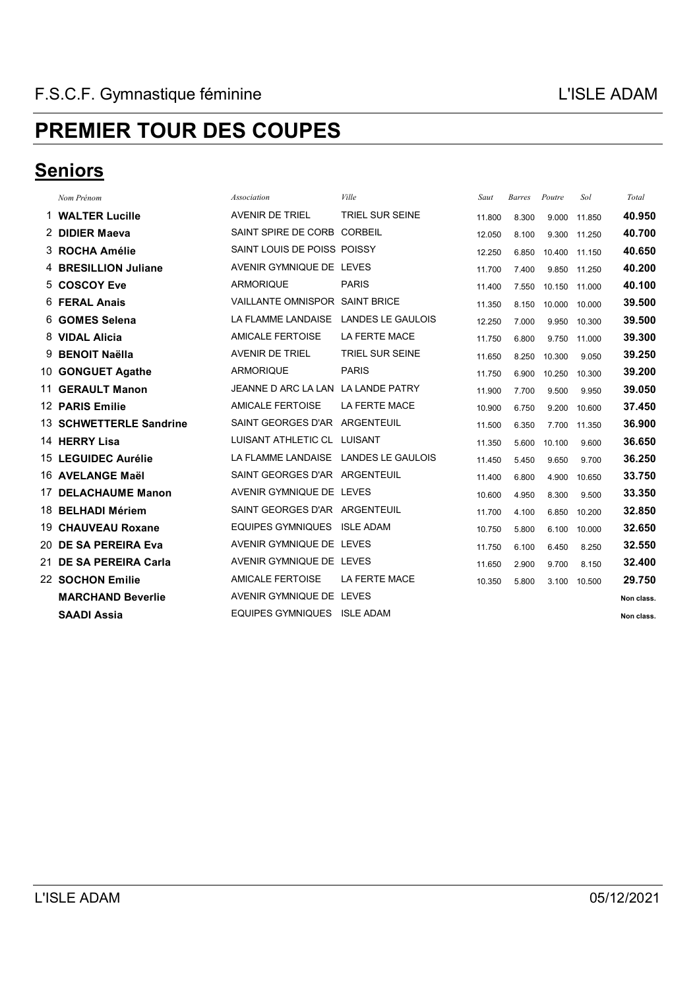#### **Seniors**

| Nom Prénom               | Association                          | Ville                    | Saut   | Barres | Poutre | Sol    | Total      |
|--------------------------|--------------------------------------|--------------------------|--------|--------|--------|--------|------------|
| 1 WALTER Lucille         | <b>AVENIR DE TRIEL</b>               | TRIEL SUR SEINE          | 11.800 | 8.300  | 9.000  | 11.850 | 40.950     |
| 2 DIDIER Maeva           | SAINT SPIRE DE CORB CORBEIL          |                          | 12.050 | 8.100  | 9.300  | 11.250 | 40.700     |
| 3 ROCHA Amélie           | SAINT LOUIS DE POISS POISSY          |                          | 12.250 | 6.850  | 10.400 | 11.150 | 40.650     |
| 4 BRESILLION Juliane     | AVENIR GYMNIQUE DE LEVES             |                          | 11.700 | 7.400  | 9.850  | 11.250 | 40.200     |
| 5 COSCOY Eve             | <b>ARMORIQUE</b>                     | <b>PARIS</b>             | 11.400 | 7.550  | 10.150 | 11.000 | 40.100     |
| 6 FERAL Anais            | VAILLANTE OMNISPOR SAINT BRICE       |                          | 11.350 | 8.150  | 10.000 | 10.000 | 39.500     |
| 6 GOMES Selena           | LA FLAMME LANDAISE                   | <b>LANDES LE GAULOIS</b> | 12.250 | 7.000  | 9.950  | 10.300 | 39.500     |
| 8 VIDAL Alicia           | <b>AMICALE FERTOISE</b>              | <b>LA FERTE MACE</b>     | 11.750 | 6.800  | 9.750  | 11.000 | 39.300     |
| 9 BENOIT Naëlla          | <b>AVENIR DE TRIEL</b>               | <b>TRIEL SUR SEINE</b>   | 11.650 | 8.250  | 10.300 | 9.050  | 39.250     |
| 10 GONGUET Agathe        | <b>ARMORIQUE</b>                     | <b>PARIS</b>             | 11.750 | 6.900  | 10.250 | 10.300 | 39.200     |
| 11 GERAULT Manon         | JEANNE D ARC LA LAN LA LANDE PATRY   |                          | 11.900 | 7.700  | 9.500  | 9.950  | 39.050     |
| 12 PARIS Emilie          | <b>AMICALE FERTOISE</b>              | <b>LA FERTE MACE</b>     | 10.900 | 6.750  | 9.200  | 10.600 | 37.450     |
| 13 SCHWETTERLE Sandrine  | SAINT GEORGES D'AR ARGENTEUIL        |                          | 11.500 | 6.350  | 7.700  | 11.350 | 36.900     |
| 14 HERRY Lisa            | LUISANT ATHLETIC CL LUISANT          |                          | 11.350 | 5.600  | 10.100 | 9.600  | 36.650     |
| 15 LEGUIDEC Aurélie      | LA FLAMME LANDAISE LANDES LE GAULOIS |                          | 11.450 | 5.450  | 9.650  | 9.700  | 36.250     |
| 16 AVELANGE Maël         | SAINT GEORGES D'AR ARGENTEUIL        |                          | 11.400 | 6.800  | 4.900  | 10.650 | 33.750     |
| 17 DELACHAUME Manon      | AVENIR GYMNIQUE DE LEVES             |                          | 10.600 | 4.950  | 8.300  | 9.500  | 33.350     |
| 18 BELHADI Mériem        | SAINT GEORGES D'AR ARGENTEUIL        |                          | 11.700 | 4.100  | 6.850  | 10.200 | 32.850     |
| 19 CHAUVEAU Roxane       | <b>EQUIPES GYMNIQUES</b>             | <b>ISLE ADAM</b>         | 10.750 | 5.800  | 6.100  | 10.000 | 32.650     |
| 20 DE SA PEREIRA Eva     | AVENIR GYMNIQUE DE LEVES             |                          | 11.750 | 6.100  | 6.450  | 8.250  | 32.550     |
| 21 DE SA PEREIRA Carla   | AVENIR GYMNIQUE DE LEVES             |                          | 11.650 | 2.900  | 9.700  | 8.150  | 32.400     |
| 22 SOCHON Emilie         | <b>AMICALE FERTOISE</b>              | <b>LA FERTE MACE</b>     | 10.350 | 5.800  | 3.100  | 10.500 | 29.750     |
| <b>MARCHAND Beverlie</b> | AVENIR GYMNIQUE DE LEVES             |                          |        |        |        |        | Non class. |
| <b>SAADI Assia</b>       | EQUIPES GYMNIQUES                    | <b>ISLE ADAM</b>         |        |        |        |        | Non class. |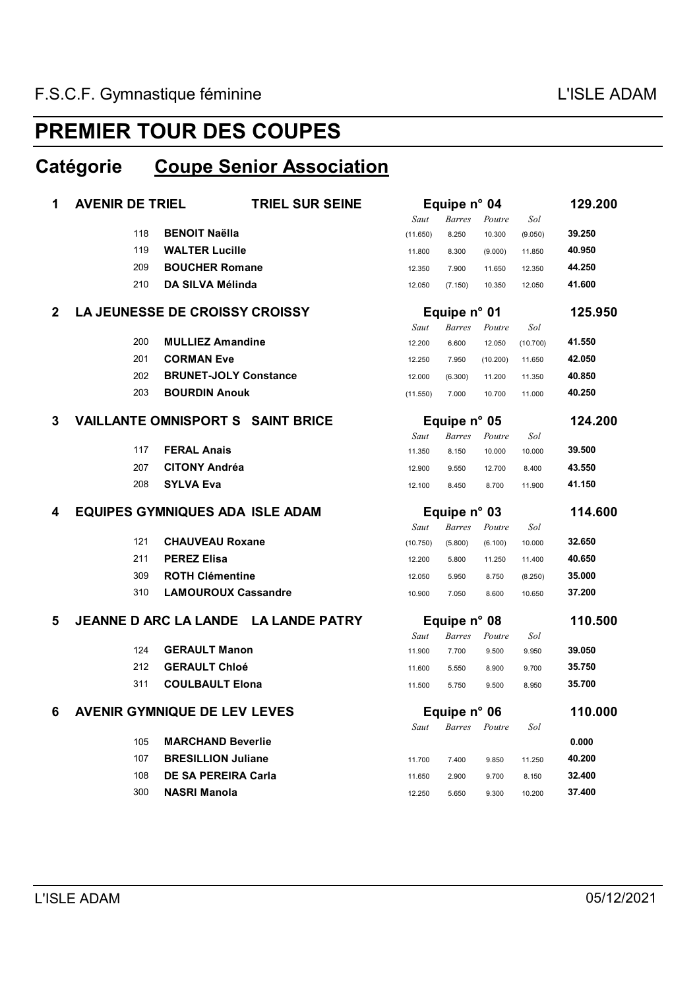#### **Catégorie Coupe Senior Association**

| 1            | <b>AVENIR DE TRIEL</b> | <b>TRIEL SUR SEINE</b>                            |                  |                |                | Equipe n° 04    |                  |  |  |
|--------------|------------------------|---------------------------------------------------|------------------|----------------|----------------|-----------------|------------------|--|--|
|              |                        |                                                   | Saut             | <b>Barres</b>  | Poutre         | Sol             |                  |  |  |
|              | 118                    | <b>BENOIT Naëlla</b>                              | (11.650)         | 8.250          | 10.300         | (9.050)         | 39.250           |  |  |
|              | 119                    | <b>WALTER Lucille</b>                             | 11.800           | 8.300          | (9.000)        | 11.850          | 40.950           |  |  |
|              | 209                    | <b>BOUCHER Romane</b>                             | 12.350           | 7.900          | 11.650         | 12.350          | 44.250           |  |  |
|              | 210                    | <b>DA SILVA Mélinda</b>                           | 12.050           | (7.150)        | 10.350         | 12.050          | 41.600           |  |  |
| $\mathbf{2}$ |                        | <b>LA JEUNESSE DE CROISSY CROISSY</b>             |                  | Equipe n° 01   |                |                 | 125.950          |  |  |
|              |                        |                                                   | Saut             | <b>Barres</b>  | Poutre         | Sol             |                  |  |  |
|              | 200                    | <b>MULLIEZ Amandine</b>                           | 12.200           | 6.600          | 12.050         | (10.700)        | 41.550           |  |  |
|              | 201                    | <b>CORMAN Eve</b>                                 | 12.250           | 7.950          | (10.200)       | 11.650          | 42.050           |  |  |
|              | 202                    | <b>BRUNET-JOLY Constance</b>                      | 12.000           | (6.300)        | 11.200         | 11.350          | 40.850           |  |  |
|              | 203                    | <b>BOURDIN Anouk</b>                              | (11.550)         | 7.000          | 10.700         | 11.000          | 40.250           |  |  |
| 3            |                        | <b>VAILLANTE OMNISPORT S SAINT BRICE</b>          |                  | Equipe n° 05   |                |                 | 124.200          |  |  |
|              |                        |                                                   | Saut             | <b>Barres</b>  | Poutre         | Sol             |                  |  |  |
|              | 117                    | <b>FERAL Anais</b>                                | 11.350           | 8.150          | 10.000         | 10.000          | 39.500           |  |  |
|              | 207                    | <b>CITONY Andréa</b>                              | 12.900           | 9.550          | 12.700         | 8.400           | 43.550           |  |  |
|              | 208                    | <b>SYLVA Eva</b>                                  | 12.100           | 8.450          | 8.700          | 11.900          | 41.150           |  |  |
|              |                        |                                                   | Equipe n° 03     |                |                |                 |                  |  |  |
| 4            |                        | <b>EQUIPES GYMNIQUES ADA ISLE ADAM</b>            |                  |                |                |                 | 114.600          |  |  |
|              |                        |                                                   | Saut             | <b>Barres</b>  | Poutre         | Sol             |                  |  |  |
|              | 121                    | <b>CHAUVEAU Roxane</b>                            | (10.750)         | (5.800)        | (6.100)        | 10.000          | 32.650           |  |  |
|              | 211                    | <b>PEREZ Elisa</b>                                | 12.200           | 5.800          | 11.250         | 11.400          | 40.650           |  |  |
|              | 309                    | <b>ROTH Clémentine</b>                            | 12.050           | 5.950          | 8.750          | (8.250)         | 35.000           |  |  |
|              | 310                    | <b>LAMOUROUX Cassandre</b>                        | 10.900           | 7.050          | 8.600          | 10.650          | 37.200           |  |  |
| 5            |                        | JEANNE D ARC LA LANDE LA LANDE PATRY              |                  | Equipe n° 08   |                |                 | 110.500          |  |  |
|              |                        |                                                   | Saut             | <b>Barres</b>  | Poutre         | Sol             |                  |  |  |
|              | 124                    | <b>GERAULT Manon</b>                              | 11.900           | 7.700          | 9.500          | 9.950           | 39.050           |  |  |
|              | 212                    | <b>GERAULT Chloé</b>                              | 11.600           | 5.550          | 8.900          | 9.700           | 35.750           |  |  |
|              | 311                    | <b>COULBAULT Elona</b>                            | 11.500           | 5.750          | 9.500          | 8.950           | 35.700           |  |  |
| 6            |                        | <b>AVENIR GYMNIQUE DE LEV LEVES</b>               |                  | Equipe n° 06   |                |                 | 110.000          |  |  |
|              |                        |                                                   | Saut             | <b>Barres</b>  | Poutre         | Sol             |                  |  |  |
|              | 105                    | <b>MARCHAND Beverlie</b>                          |                  |                |                |                 | 0.000            |  |  |
|              | 107                    | <b>BRESILLION Juliane</b>                         | 11.700           | 7.400          | 9.850          | 11.250          | 40.200           |  |  |
|              | 108<br>300             | <b>DE SA PEREIRA Carla</b><br><b>NASRI Manola</b> | 11.650<br>12.250 | 2.900<br>5.650 | 9.700<br>9.300 | 8.150<br>10.200 | 32.400<br>37.400 |  |  |